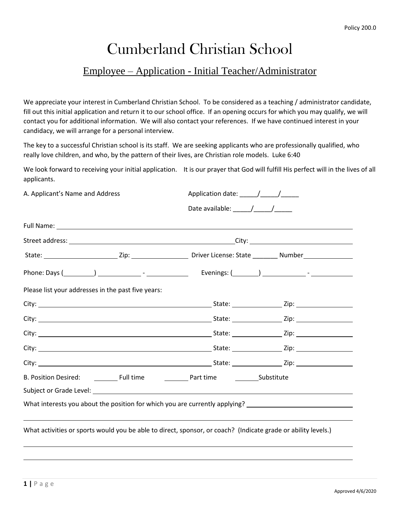# Cumberland Christian School

### Employee – Application - Initial Teacher/Administrator

We appreciate your interest in Cumberland Christian School. To be considered as a teaching / administrator candidate, fill out this initial application and return it to our school office. If an opening occurs for which you may qualify, we will contact you for additional information. We will also contact your references. If we have continued interest in your candidacy, we will arrange for a personal interview.

The key to a successful Christian school is its staff. We are seeking applicants who are professionally qualified, who really love children, and who, by the pattern of their lives, are Christian role models. Luke 6:40

We look forward to receiving your initial application. It is our prayer that God will fulfill His perfect will in the lives of all applicants.

| A. Applicant's Name and Address |                                                                                                               |                                                                                                                                                                                                                                                                                                                                                                                                                                          |                                                                                                                |  |
|---------------------------------|---------------------------------------------------------------------------------------------------------------|------------------------------------------------------------------------------------------------------------------------------------------------------------------------------------------------------------------------------------------------------------------------------------------------------------------------------------------------------------------------------------------------------------------------------------------|----------------------------------------------------------------------------------------------------------------|--|
|                                 |                                                                                                               | Date available: $\frac{1}{\frac{1}{2} \cdot \frac{1}{2} \cdot \frac{1}{2} \cdot \frac{1}{2} \cdot \frac{1}{2} \cdot \frac{1}{2} \cdot \frac{1}{2} \cdot \frac{1}{2} \cdot \frac{1}{2} \cdot \frac{1}{2} \cdot \frac{1}{2} \cdot \frac{1}{2} \cdot \frac{1}{2} \cdot \frac{1}{2} \cdot \frac{1}{2} \cdot \frac{1}{2} \cdot \frac{1}{2} \cdot \frac{1}{2} \cdot \frac{1}{2} \cdot \frac{1}{2} \cdot \frac{1}{2} \cdot \frac{1}{2} \cdot \$ |                                                                                                                |  |
|                                 |                                                                                                               |                                                                                                                                                                                                                                                                                                                                                                                                                                          |                                                                                                                |  |
|                                 |                                                                                                               |                                                                                                                                                                                                                                                                                                                                                                                                                                          |                                                                                                                |  |
|                                 |                                                                                                               |                                                                                                                                                                                                                                                                                                                                                                                                                                          | State: __________________________Zip: ____________________Driver License: State __________Number______________ |  |
|                                 |                                                                                                               |                                                                                                                                                                                                                                                                                                                                                                                                                                          | Phone: Days (1998) 2012 [19] Thone: Days (2014) 2022 [19] Thone: Days (2014) 2022 [19] Thone: Days (2014) 2023 |  |
|                                 | Please list your addresses in the past five years:                                                            |                                                                                                                                                                                                                                                                                                                                                                                                                                          |                                                                                                                |  |
|                                 |                                                                                                               |                                                                                                                                                                                                                                                                                                                                                                                                                                          |                                                                                                                |  |
|                                 |                                                                                                               |                                                                                                                                                                                                                                                                                                                                                                                                                                          |                                                                                                                |  |
|                                 |                                                                                                               |                                                                                                                                                                                                                                                                                                                                                                                                                                          |                                                                                                                |  |
|                                 |                                                                                                               |                                                                                                                                                                                                                                                                                                                                                                                                                                          |                                                                                                                |  |
|                                 |                                                                                                               |                                                                                                                                                                                                                                                                                                                                                                                                                                          |                                                                                                                |  |
|                                 | B. Position Desired: <u>Cambridge Collectione</u> Full time <b>Collection</b> Part time Constitute            |                                                                                                                                                                                                                                                                                                                                                                                                                                          |                                                                                                                |  |
|                                 | Subject or Grade Level: Subject of the Subject of Subject or Grade Level:                                     |                                                                                                                                                                                                                                                                                                                                                                                                                                          |                                                                                                                |  |
|                                 |                                                                                                               |                                                                                                                                                                                                                                                                                                                                                                                                                                          | What interests you about the position for which you are currently applying? ________________________           |  |
|                                 | What activities or sports would you be able to direct, sponsor, or coach? (Indicate grade or ability levels.) |                                                                                                                                                                                                                                                                                                                                                                                                                                          |                                                                                                                |  |
|                                 |                                                                                                               |                                                                                                                                                                                                                                                                                                                                                                                                                                          |                                                                                                                |  |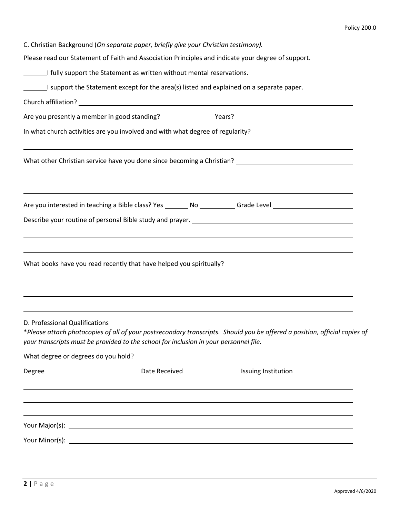C. Christian Background (*On separate paper, briefly give your Christian testimony).*

Please read our Statement of Faith and Association Principles and indicate your degree of support.

|                                     | I fully support the Statement as written without mental reservations.                    |                                                                                                                                                                                                    |  |
|-------------------------------------|------------------------------------------------------------------------------------------|----------------------------------------------------------------------------------------------------------------------------------------------------------------------------------------------------|--|
|                                     | I support the Statement except for the area(s) listed and explained on a separate paper. |                                                                                                                                                                                                    |  |
|                                     |                                                                                          |                                                                                                                                                                                                    |  |
|                                     |                                                                                          |                                                                                                                                                                                                    |  |
|                                     |                                                                                          | In what church activities are you involved and with what degree of regularity? _______________________________                                                                                     |  |
|                                     |                                                                                          |                                                                                                                                                                                                    |  |
|                                     |                                                                                          | ,我们也不会有什么。""我们的人,我们也不会有什么?""我们的人,我们也不会有什么?""我们的人,我们也不会有什么?""我们的人,我们也不会有什么?""我们的人<br>Are you interested in teaching a Bible class? Yes ________ No ___________Grade Level _________________________ |  |
|                                     |                                                                                          |                                                                                                                                                                                                    |  |
|                                     | What books have you read recently that have helped you spiritually?                      |                                                                                                                                                                                                    |  |
| D. Professional Qualifications      | your transcripts must be provided to the school for inclusion in your personnel file.    | *Please attach photocopies of all of your postsecondary transcripts. Should you be offered a position, official copies of                                                                          |  |
| What degree or degrees do you hold? |                                                                                          |                                                                                                                                                                                                    |  |
| Degree                              | Date Received                                                                            | Issuing Institution                                                                                                                                                                                |  |
|                                     |                                                                                          |                                                                                                                                                                                                    |  |
|                                     |                                                                                          |                                                                                                                                                                                                    |  |
|                                     |                                                                                          |                                                                                                                                                                                                    |  |
|                                     |                                                                                          |                                                                                                                                                                                                    |  |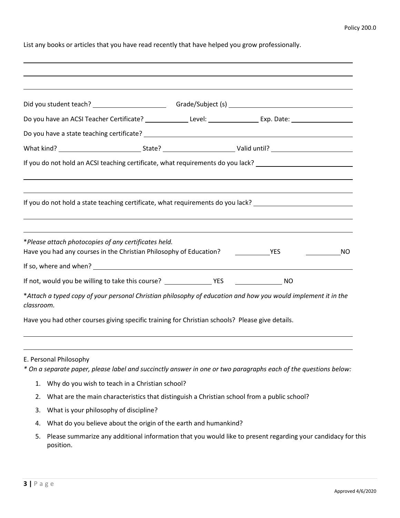List any books or articles that you have read recently that have helped you grow professionally.

| Do you have an ACSI Teacher Certificate? _______________Level: __________________Exp. Date: __________________              |  |           |
|-----------------------------------------------------------------------------------------------------------------------------|--|-----------|
|                                                                                                                             |  |           |
|                                                                                                                             |  |           |
| If you do not hold an ACSI teaching certificate, what requirements do you lack?                                             |  |           |
|                                                                                                                             |  |           |
| If you do not hold a state teaching certificate, what requirements do you lack? _____________________________               |  |           |
|                                                                                                                             |  |           |
|                                                                                                                             |  |           |
| *Please attach photocopies of any certificates held.                                                                        |  |           |
|                                                                                                                             |  | <b>NO</b> |
|                                                                                                                             |  |           |
| Have you had any courses in the Christian Philosophy of Education? _______________YES                                       |  |           |
| *Attach a typed copy of your personal Christian philosophy of education and how you would implement it in the<br>classroom. |  |           |

E. Personal Philosophy

*\* On a separate paper, please label and succinctly answer in one or two paragraphs each of the questions below:*

- 1. Why do you wish to teach in a Christian school?
- 2. What are the main characteristics that distinguish a Christian school from a public school?
- 3. What is your philosophy of discipline?
- 4. What do you believe about the origin of the earth and humankind?
- 5. Please summarize any additional information that you would like to present regarding your candidacy for this position.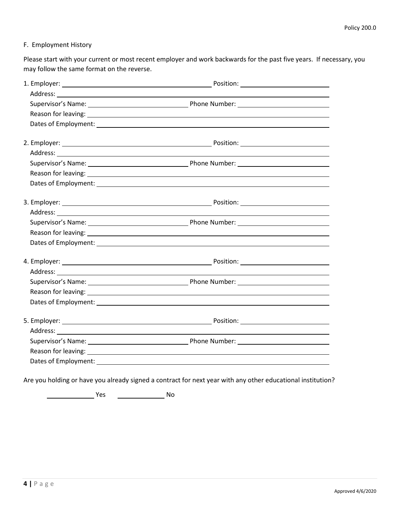#### F. Employment History

Please start with your current or most recent employer and work backwards for the past five years. If necessary, you may follow the same format on the reverse.

| Supervisor's Name: 1990 Manner 2008 (2009) Phone Number: 2008 Manner 2009 Manner 2008 (2009) Phone Number:                                                                                                                     |  |
|--------------------------------------------------------------------------------------------------------------------------------------------------------------------------------------------------------------------------------|--|
|                                                                                                                                                                                                                                |  |
|                                                                                                                                                                                                                                |  |
|                                                                                                                                                                                                                                |  |
|                                                                                                                                                                                                                                |  |
|                                                                                                                                                                                                                                |  |
| Reason for leaving: North Commission and Commission and Commission and Commission and Commission and Commission                                                                                                                |  |
|                                                                                                                                                                                                                                |  |
|                                                                                                                                                                                                                                |  |
|                                                                                                                                                                                                                                |  |
|                                                                                                                                                                                                                                |  |
|                                                                                                                                                                                                                                |  |
|                                                                                                                                                                                                                                |  |
|                                                                                                                                                                                                                                |  |
|                                                                                                                                                                                                                                |  |
| Supervisor's Name: 1990 Manner 2008 (2009) Phone Number: 2008 Munchers 2009 Manner 2009 Manner 2009 Manner 200                                                                                                                 |  |
|                                                                                                                                                                                                                                |  |
|                                                                                                                                                                                                                                |  |
|                                                                                                                                                                                                                                |  |
|                                                                                                                                                                                                                                |  |
|                                                                                                                                                                                                                                |  |
| Reason for leaving: 1999 Contract to the contract of the contract of the contract of the contract of the contract of the contract of the contract of the contract of the contract of the contract of the contract of the contr |  |
|                                                                                                                                                                                                                                |  |
|                                                                                                                                                                                                                                |  |

Are you holding or have you already signed a contract for next year with any other educational institution?

Yes No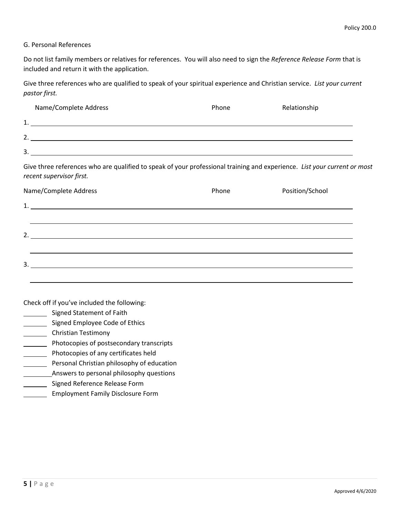#### G. Personal References

Do not list family members or relatives for references. You will also need to sign the *Reference Release Form* that is included and return it with the application.

Give three references who are qualified to speak of your spiritual experience and Christian service. *List your current pastor first.*

| Name/Complete Address                                                                                                                                | Phone | Relationship    |
|------------------------------------------------------------------------------------------------------------------------------------------------------|-------|-----------------|
|                                                                                                                                                      |       |                 |
| $\frac{1}{2}$ .                                                                                                                                      |       |                 |
| $\overline{\mathbf{3.}}$                                                                                                                             |       |                 |
| Give three references who are qualified to speak of your professional training and experience. List your current or most<br>recent supervisor first. |       |                 |
| Name/Complete Address                                                                                                                                | Phone | Position/School |
|                                                                                                                                                      |       |                 |
|                                                                                                                                                      |       |                 |
| $\mathcal{P}$                                                                                                                                        |       |                 |

| <u>.</u> |  |  |  |
|----------|--|--|--|
|          |  |  |  |

Check off if you've included the following:

- Signed Statement of Faith
- Signed Employee Code of Ethics
- **Christian Testimony**
- **EXECOPED Photocopies of postsecondary transcripts**
- Photocopies of any certificates held
- **Personal Christian philosophy of education**
- **Answers to personal philosophy questions**
- **Signed Reference Release Form**
- **Employment Family Disclosure Form**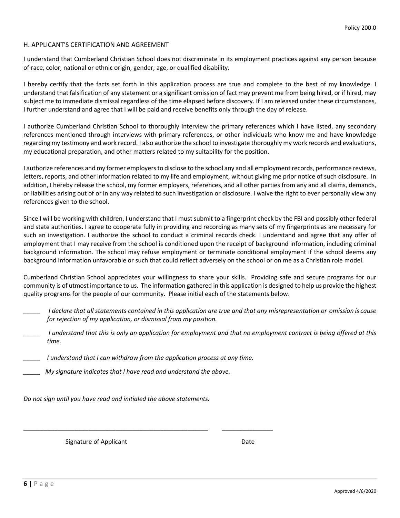#### H. APPLICANT'S CERTIFICATION AND AGREEMENT

I understand that Cumberland Christian School does not discriminate in its employment practices against any person because of race, color, national or ethnic origin, gender, age, or qualified disability.

I hereby certify that the facts set forth in this application process are true and complete to the best of my knowledge. I understand that falsification of any statement or a significant omission of fact may prevent me from being hired, or if hired, may subject me to immediate dismissal regardless of the time elapsed before discovery. If I am released under these circumstances, I further understand and agree that I will be paid and receive benefits only through the day of release.

I authorize Cumberland Christian School to thoroughly interview the primary references which I have listed, any secondary references mentioned through interviews with primary references, or other individuals who know me and have knowledge regarding my testimony and work record. I also authorize the school to investigate thoroughly my work records and evaluations, my educational preparation, and other matters related to my suitability for the position.

I authorize references and my former employers to disclose to the school any and all employment records, performance reviews, letters, reports, and other information related to my life and employment, without giving me prior notice of such disclosure. In addition, I hereby release the school, my former employers, references, and all other parties from any and all claims, demands, or liabilities arising out of or in any way related to such investigation or disclosure. I waive the right to ever personally view any references given to the school.

Since I will be working with children, I understand that I must submit to a fingerprint check by the FBI and possibly other federal and state authorities. I agree to cooperate fully in providing and recording as many sets of my fingerprints as are necessary for such an investigation. I authorize the school to conduct a criminal records check. I understand and agree that any offer of employment that I may receive from the school is conditioned upon the receipt of background information, including criminal background information. The school may refuse employment or terminate conditional employment if the school deems any background information unfavorable or such that could reflect adversely on the school or on me as a Christian role model.

Cumberland Christian School appreciates your willingness to share your skills. Providing safe and secure programs for our community is of utmost importance to us. The information gathered in this application is designed to help us provide the highest quality programs for the people of our community. Please initial each of the statements below.

- *\_\_\_\_\_ I declare that all statements contained in this application are true and that any misrepresentation or omission is cause for rejection of my application, or dismissal from my position.*
- *\_\_\_\_\_ I understand that this is only an application for employment and that no employment contract is being offered at this time.*
- *\_\_\_\_\_ I understand that I can withdraw from the application process at any time.*

\_\_\_\_\_\_\_\_\_\_\_\_\_\_\_\_\_\_\_\_\_\_\_\_\_\_\_\_\_\_\_\_\_\_\_\_\_\_\_\_\_\_\_\_\_\_\_\_\_\_\_\_\_\_ \_\_\_\_\_\_\_\_\_\_\_\_\_\_\_

*\_\_\_\_\_ My signature indicates that I have read and understand the above.*

*Do not sign until you have read and initialed the above statements.*

Signature of Applicant Date Date Date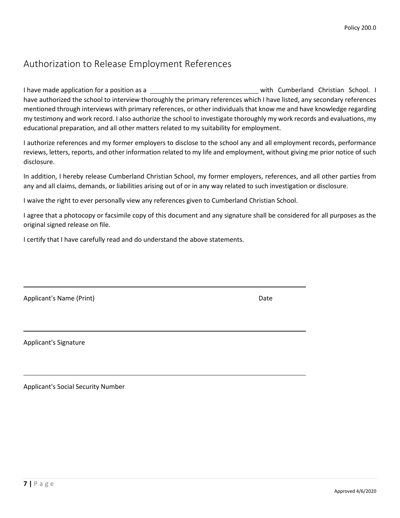## Authorization to Release Employment References

I have made application for a position as a with Cumberland Christian School. I have authorized the school to interview thoroughly the primary references which I have listed, any secondary references mentioned through interviews with primary references, or other individuals that know me and have knowledge regarding my testimony and work record. I also authorize the school to investigate thoroughly my work records and evaluations, my educational preparation, and all other matters related to my suitability for employment.

I authorize references and my former employers to disclose to the school any and all employment records, performance reviews, letters, reports, and other information related to my life and employment, without giving me prior notice of such disclosure.

In addition, I hereby release Cumberland Christian School, my former employers, references, and all other parties from any and all claims, demands, or liabilities arising out of or in any way related to such investigation or disclosure.

I waive the right to ever personally view any references given to Cumberland Christian School.

I agree that a photocopy or facsimile copy of this document and any signature shall be considered for all purposes as the original signed release on file.

I certify that I have carefully read and do understand the above statements.

| Applicant's Name (Print) | Date |
|--------------------------|------|
|                          |      |

Applicant's Signature

Applicant's Social Security Number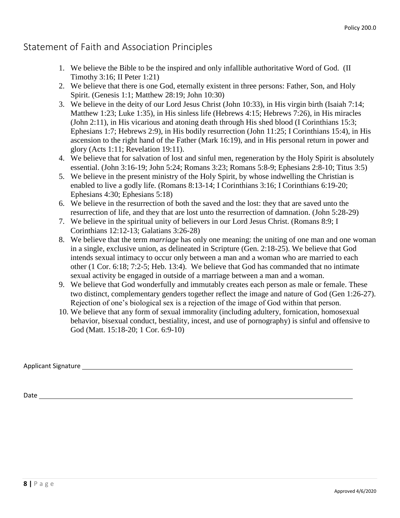### Statement of Faith and Association Principles

- 1. We believe the Bible to be the inspired and only infallible authoritative Word of God. (II Timothy 3:16; II Peter 1:21)
- 2. We believe that there is one God, eternally existent in three persons: Father, Son, and Holy Spirit. (Genesis 1:1; Matthew 28:19; John 10:30)
- 3. We believe in the deity of our Lord Jesus Christ (John 10:33), in His virgin birth (Isaiah 7:14; Matthew 1:23; Luke 1:35), in His sinless life (Hebrews 4:15; Hebrews 7:26), in His miracles (John 2:11), in His vicarious and atoning death through His shed blood (I Corinthians 15:3; Ephesians 1:7; Hebrews 2:9), in His bodily resurrection (John 11:25; I Corinthians 15:4), in His ascension to the right hand of the Father (Mark 16:19), and in His personal return in power and glory (Acts 1:11; Revelation 19:11).
- 4. We believe that for salvation of lost and sinful men, regeneration by the Holy Spirit is absolutely essential. (John 3:16-19; John 5:24; Romans 3:23; Romans 5:8-9; Ephesians 2:8-10; Titus 3:5)
- 5. We believe in the present ministry of the Holy Spirit, by whose indwelling the Christian is enabled to live a godly life. (Romans 8:13-14; I Corinthians 3:16; I Corinthians 6:19-20; Ephesians 4:30; Ephesians 5:18)
- 6. We believe in the resurrection of both the saved and the lost: they that are saved unto the resurrection of life, and they that are lost unto the resurrection of damnation. (John 5:28-29)
- 7. We believe in the spiritual unity of believers in our Lord Jesus Christ. (Romans 8:9; I Corinthians 12:12-13; Galatians 3:26-28)
- 8. We believe that the term *marriage* has only one meaning: the uniting of one man and one woman in a single, exclusive union, as delineated in Scripture (Gen. 2:18-25). We believe that God intends sexual intimacy to occur only between a man and a woman who are married to each other (1 Cor. 6:18; 7:2-5; Heb. 13:4). We believe that God has commanded that no intimate sexual activity be engaged in outside of a marriage between a man and a woman.
- 9. We believe that God wonderfully and immutably creates each person as male or female. These two distinct, complementary genders together reflect the image and nature of God (Gen 1:26-27). Rejection of one's biological sex is a rejection of the image of God within that person.
- 10. We believe that any form of sexual immorality (including adultery, fornication, homosexual behavior, bisexual conduct, bestiality, incest, and use of pornography) is sinful and offensive to God (Matt. 15:18-20; 1 Cor. 6:9-10)

Applicant Signature

Date and the contract of the contract of the contract of the contract of the contract of the contract of the contract of the contract of the contract of the contract of the contract of the contract of the contract of the c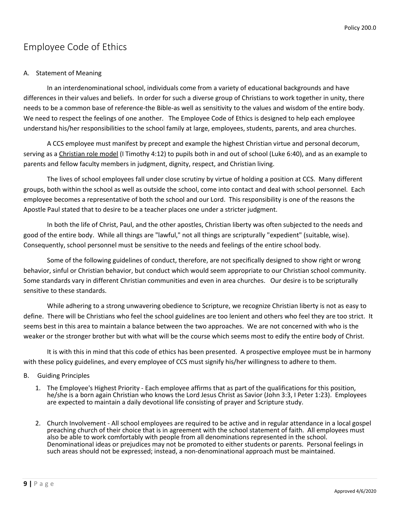### Employee Code of Ethics

### A. Statement of Meaning

In an interdenominational school, individuals come from a variety of educational backgrounds and have differences in their values and beliefs. In order for such a diverse group of Christians to work together in unity, there needs to be a common base of reference-the Bible-as well as sensitivity to the values and wisdom of the entire body. We need to respect the feelings of one another. The Employee Code of Ethics is designed to help each employee understand his/her responsibilities to the school family at large, employees, students, parents, and area churches.

A CCS employee must manifest by precept and example the highest Christian virtue and personal decorum, serving as a Christian role model (I Timothy 4:12) to pupils both in and out of school (Luke 6:40), and as an example to parents and fellow faculty members in judgment, dignity, respect, and Christian living.

The lives of school employees fall under close scrutiny by virtue of holding a position at CCS. Many different groups, both within the school as well as outside the school, come into contact and deal with school personnel. Each employee becomes a representative of both the school and our Lord. This responsibility is one of the reasons the Apostle Paul stated that to desire to be a teacher places one under a stricter judgment.

In both the life of Christ, Paul, and the other apostles, Christian liberty was often subjected to the needs and good of the entire body. While all things are "lawful," not all things are scripturally "expedient" (suitable, wise). Consequently, school personnel must be sensitive to the needs and feelings of the entire school body.

Some of the following guidelines of conduct, therefore, are not specifically designed to show right or wrong behavior, sinful or Christian behavior, but conduct which would seem appropriate to our Christian school community. Some standards vary in different Christian communities and even in area churches. Our desire is to be scripturally sensitive to these standards.

While adhering to a strong unwavering obedience to Scripture, we recognize Christian liberty is not as easy to define. There will be Christians who feel the school guidelines are too lenient and others who feel they are too strict. It seems best in this area to maintain a balance between the two approaches. We are not concerned with who is the weaker or the stronger brother but with what will be the course which seems most to edify the entire body of Christ.

It is with this in mind that this code of ethics has been presented. A prospective employee must be in harmony with these policy guidelines, and every employee of CCS must signify his/her willingness to adhere to them.

#### B. Guiding Principles

- 1. The Employee's Highest Priority Each employee affirms that as part of the qualifications for this position, he/she is a born again Christian who knows the Lord Jesus Christ as Savior (John 3:3, I Peter 1:23). Employees are expected to maintain a daily devotional life consisting of prayer and Scripture study.
- 2. Church Involvement All school employees are required to be active and in regular attendance in a local gospel preaching church of their choice that is in agreement with the school statement of faith. All employees must also be able to work comfortably with people from all denominations represented in the school. Denominational ideas or prejudices may not be promoted to either students or parents. Personal feelings in such areas should not be expressed; instead, a non-denominational approach must be maintained.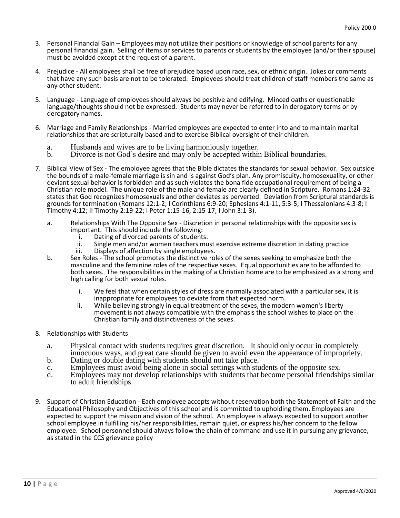- 3. Personal Financial Gain Employees may not utilize their positions or knowledge of school parents for any personal financial gain. Selling of items or services to parents or students by the employee (and/or their spouse) must be avoided except at the request of a parent.
- 4. Prejudice All employees shall be free of prejudice based upon race, sex, or ethnic origin. Jokes or comments that have any such basis are not to be tolerated. Employees should treat children of staff members the same as any other student.
- 5. Language Language of employees should always be positive and edifying. Minced oaths or questionable language/thoughts should not be expressed. Students may never be referred to in derogatory terms or by derogatory names.
- 6. Marriage and Family Relationships Married employees are expected to enter into and to maintain marital relationships that are scripturally based and to exercise Biblical oversight of their children.
	- a. Husbands and wives are to be living harmoniously together.<br>b. Divorce is not God's desire and may only be accepted within
	- b. Divorce is not God's desire and may only be accepted within Biblical boundaries.
- 7. Biblical View of Sex The employee agrees that the Bible dictates the standards for sexual behavior. Sex outside the bounds of a male-female marriage is sin and is against God's plan. Any promiscuity, homosexuality, or other deviant sexual behavior is forbidden and as such violates the bona fide occupational requirement of being a Christian role model. The unique role of the male and female are clearly defined in Scripture. Romans 1:24-32 states that God recognizes homosexuals and other deviates as perverted. Deviation from Scriptural standards is grounds for termination (Romans 12:1-2; I Corinthians 6:9-20; Ephesians 4:1-11, 5:3-5; I Thessalonians 4:3-8; I Timothy 4:12; II Timothy 2:19-22; I Peter 1:15-16, 2:15-17; I John 3:1-3).
	- a. Relationships With The Opposite Sex Discretion in personal relationships with the opposite sex is important. This should include the following:
		- i. Dating of divorced parents of students.
		- ii. Single men and/or women teachers must exercise extreme discretion in dating practice iii. Displays of affection by single employees. Displays of affection by single employees.
	- b. Sex Roles The school promotes the distinctive roles of the sexes seeking to emphasize both the masculine and the feminine roles of the respective sexes. Equal opportunities are to be afforded to both sexes. The responsibilities in the making of a Christian home are to be emphasized as a strong and high calling for both sexual roles.
		- i. We feel that when certain styles of dress are normally associated with a particular sex, it is inappropriate for employees to deviate from that expected norm.
		- ii. While believing strongly in equal treatment of the sexes, the modern women's liberty movement is not always compatible with the emphasis the school wishes to place on the Christian family and distinctiveness of the sexes.
- 8. Relationships with Students
	- a. Physical contact with students requires great discretion. It should only occur in completely innocuous ways, and great care should be given to avoid even the appearance of impropriety.
	- b. Dating or double dating with students should not take place.
	- c. Employees must avoid being alone in social settings with students of the opposite sex.
	- Employees may not develop relationships with students that become personal friendships similar to adult friendships.
- 9. Support of Christian Education Each employee accepts without reservation both the Statement of Faith and the Educational Philosophy and Objectives of this school and is committed to upholding them. Employees are expected to support the mission and vision of the school. An employee is always expected to support another school employee in fulfilling his/her responsibilities, remain quiet, or express his/her concern to the fellow employee. School personnel should always follow the chain of command and use it in pursuing any grievance, as stated in the CCS grievance policy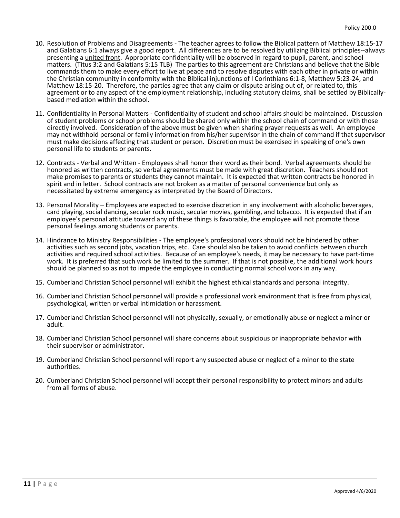- 10. Resolution of Problems and Disagreements The teacher agrees to follow the Biblical pattern of Matthew 18:15-17 and Galatians 6:1 always give a good report. All differences are to be resolved by utilizing Biblical principles--always presenting a united front. Appropriate confidentiality will be observed in regard to pupil, parent, and school matters. (Titus 3:2 and Galatians 5:15 TLB) The parties to this agreement are Christians and believe that the Bible commands them to make every effort to live at peace and to resolve disputes with each other in private or within the Christian community in conformity with the Biblical injunctions of I Corinthians 6:1-8, Matthew 5:23-24, and Matthew 18:15-20. Therefore, the parties agree that any claim or dispute arising out of, or related to, this agreement or to any aspect of the employment relationship, including statutory claims, shall be settled by Biblicallybased mediation within the school.
- 11. Confidentiality in Personal Matters Confidentiality of student and school affairs should be maintained. Discussion of student problems or school problems should be shared only within the school chain of command or with those directly involved. Consideration of the above must be given when sharing prayer requests as well. An employee may not withhold personal or family information from his/her supervisor in the chain of command if that supervisor must make decisions affecting that student or person. Discretion must be exercised in speaking of one's own personal life to students or parents.
- 12. Contracts Verbal and Written Employees shall honor their word as their bond. Verbal agreements should be honored as written contracts, so verbal agreements must be made with great discretion. Teachers should not make promises to parents or students they cannot maintain. It is expected that written contracts be honored in spirit and in letter. School contracts are not broken as a matter of personal convenience but only as necessitated by extreme emergency as interpreted by the Board of Directors.
- 13. Personal Morality Employees are expected to exercise discretion in any involvement with alcoholic beverages, card playing, social dancing, secular rock music, secular movies, gambling, and tobacco. It is expected that if an employee's personal attitude toward any of these things is favorable, the employee will not promote those personal feelings among students or parents.
- 14. Hindrance to Ministry Responsibilities The employee's professional work should not be hindered by other activities such as second jobs, vacation trips, etc. Care should also be taken to avoid conflicts between church activities and required school activities. Because of an employee's needs, it may be necessary to have part-time work. It is preferred that such work be limited to the summer. If that is not possible, the additional work hours should be planned so as not to impede the employee in conducting normal school work in any way.
- 15. Cumberland Christian School personnel will exhibit the highest ethical standards and personal integrity.
- 16. Cumberland Christian School personnel will provide a professional work environment that is free from physical, psychological, written or verbal intimidation or harassment.
- 17. Cumberland Christian School personnel will not physically, sexually, or emotionally abuse or neglect a minor or adult.
- 18. Cumberland Christian School personnel will share concerns about suspicious or inappropriate behavior with their supervisor or administrator.
- 19. Cumberland Christian School personnel will report any suspected abuse or neglect of a minor to the state authorities.
- 20. Cumberland Christian School personnel will accept their personal responsibility to protect minors and adults from all forms of abuse.